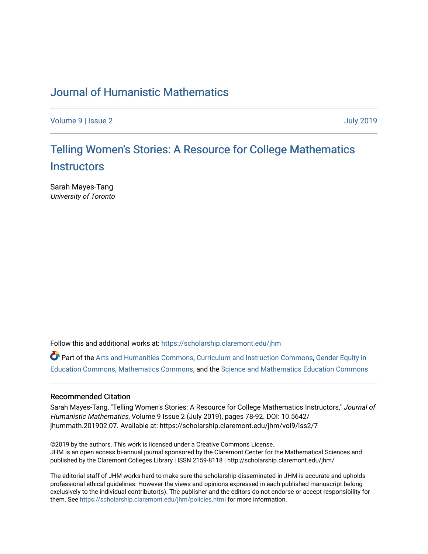# [Journal of Humanistic Mathematics](https://scholarship.claremont.edu/jhm)

[Volume 9](https://scholarship.claremont.edu/jhm/vol9) | [Issue 2](https://scholarship.claremont.edu/jhm/vol9/iss2) [July 2019](https://scholarship.claremont.edu/jhm/vol9/iss2) 

# Telling Women's Stories: A Resource for College Mathematics **[Instructors](https://scholarship.claremont.edu/jhm/vol9/iss2/7)**

Sarah Mayes-Tang University of Toronto

Follow this and additional works at: [https://scholarship.claremont.edu/jhm](https://scholarship.claremont.edu/jhm?utm_source=scholarship.claremont.edu%2Fjhm%2Fvol9%2Fiss2%2F7&utm_medium=PDF&utm_campaign=PDFCoverPages)

Part of the [Arts and Humanities Commons,](http://network.bepress.com/hgg/discipline/438?utm_source=scholarship.claremont.edu%2Fjhm%2Fvol9%2Fiss2%2F7&utm_medium=PDF&utm_campaign=PDFCoverPages) [Curriculum and Instruction Commons,](http://network.bepress.com/hgg/discipline/786?utm_source=scholarship.claremont.edu%2Fjhm%2Fvol9%2Fiss2%2F7&utm_medium=PDF&utm_campaign=PDFCoverPages) [Gender Equity in](http://network.bepress.com/hgg/discipline/1376?utm_source=scholarship.claremont.edu%2Fjhm%2Fvol9%2Fiss2%2F7&utm_medium=PDF&utm_campaign=PDFCoverPages) [Education Commons,](http://network.bepress.com/hgg/discipline/1376?utm_source=scholarship.claremont.edu%2Fjhm%2Fvol9%2Fiss2%2F7&utm_medium=PDF&utm_campaign=PDFCoverPages) [Mathematics Commons](http://network.bepress.com/hgg/discipline/174?utm_source=scholarship.claremont.edu%2Fjhm%2Fvol9%2Fiss2%2F7&utm_medium=PDF&utm_campaign=PDFCoverPages), and the [Science and Mathematics Education Commons](http://network.bepress.com/hgg/discipline/800?utm_source=scholarship.claremont.edu%2Fjhm%2Fvol9%2Fiss2%2F7&utm_medium=PDF&utm_campaign=PDFCoverPages) 

#### Recommended Citation

Sarah Mayes-Tang, "Telling Women's Stories: A Resource for College Mathematics Instructors," Journal of Humanistic Mathematics, Volume 9 Issue 2 (July 2019), pages 78-92. DOI: 10.5642/ jhummath.201902.07. Available at: https://scholarship.claremont.edu/jhm/vol9/iss2/7

©2019 by the authors. This work is licensed under a Creative Commons License. JHM is an open access bi-annual journal sponsored by the Claremont Center for the Mathematical Sciences and published by the Claremont Colleges Library | ISSN 2159-8118 | http://scholarship.claremont.edu/jhm/

The editorial staff of JHM works hard to make sure the scholarship disseminated in JHM is accurate and upholds professional ethical guidelines. However the views and opinions expressed in each published manuscript belong exclusively to the individual contributor(s). The publisher and the editors do not endorse or accept responsibility for them. See<https://scholarship.claremont.edu/jhm/policies.html> for more information.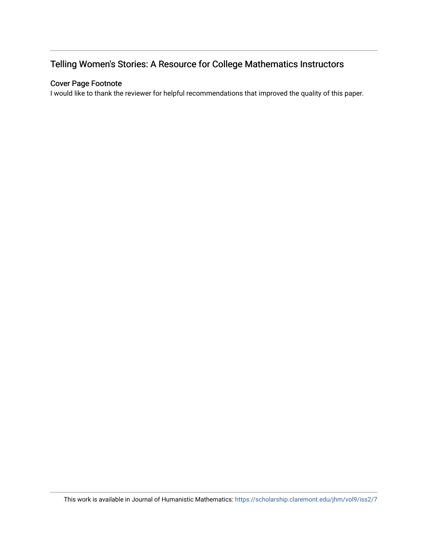# Telling Women's Stories: A Resource for College Mathematics Instructors

# Cover Page Footnote

I would like to thank the reviewer for helpful recommendations that improved the quality of this paper.

This work is available in Journal of Humanistic Mathematics:<https://scholarship.claremont.edu/jhm/vol9/iss2/7>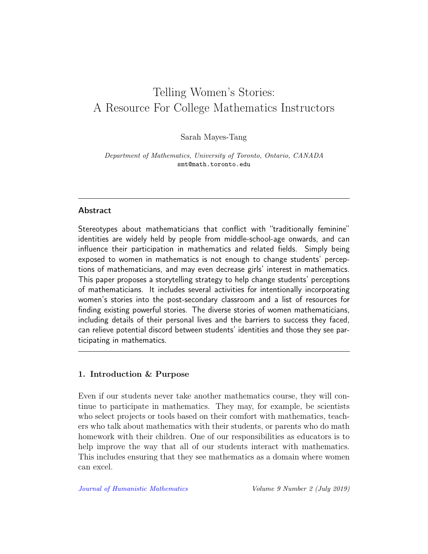# Telling Women's Stories: A Resource For College Mathematics Instructors

Sarah Mayes-Tang

Department of Mathematics, University of Toronto, Ontario, CANADA smt@math.toronto.edu

#### Abstract

Stereotypes about mathematicians that conflict with "traditionally feminine" identities are widely held by people from middle-school-age onwards, and can influence their participation in mathematics and related fields. Simply being exposed to women in mathematics is not enough to change students' perceptions of mathematicians, and may even decrease girls' interest in mathematics. This paper proposes a storytelling strategy to help change students' perceptions of mathematicians. It includes several activities for intentionally incorporating women's stories into the post-secondary classroom and a list of resources for finding existing powerful stories. The diverse stories of women mathematicians, including details of their personal lives and the barriers to success they faced, can relieve potential discord between students' identities and those they see participating in mathematics.

#### 1. Introduction & Purpose

Even if our students never take another mathematics course, they will continue to participate in mathematics. They may, for example, be scientists who select projects or tools based on their comfort with mathematics, teachers who talk about mathematics with their students, or parents who do math homework with their children. One of our responsibilities as educators is to help improve the way that all of our students interact with mathematics. This includes ensuring that they see mathematics as a domain where women can excel.

[Journal of Humanistic Mathematics](http://scholarship.claremont.edu/jhm/) Volume 9 Number 2 (July 2019)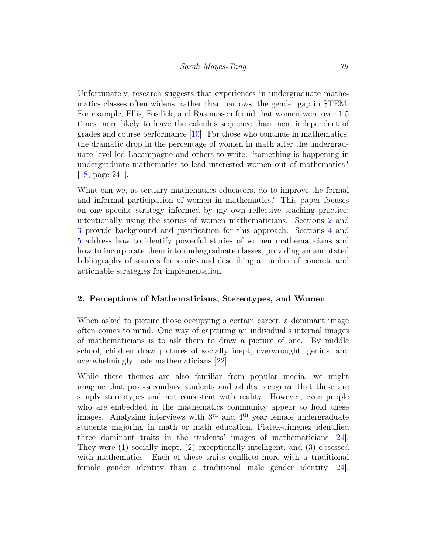Unfortunately, research suggests that experiences in undergraduate mathematics classes often widens, rather than narrows, the gender gap in STEM. For example, Ellis, Fosdick, and Rasmussen found that women were over 1.5 times more likely to leave the calculus sequence than men, independent of grades and course performance [\[10\]](#page-14-0). For those who continue in mathematics, the dramatic drop in the percentage of women in math after the undergraduate level led Lacampagne and others to write: "something is happening in undergraduate mathematics to lead interested women out of mathematics" [\[18,](#page-15-0) page 241].

What can we, as tertiary mathematics educators, do to improve the formal and informal participation of women in mathematics? This paper focuses on one specific strategy informed by my own reflective teaching practice: intentionally using the stories of women mathematicians. Sections [2](#page-3-0) and [3](#page-4-0) provide background and justification for this approach. Sections [4](#page-5-0) and [5](#page-7-0) address how to identify powerful stories of women mathematicians and how to incorporate them into undergraduate classes, providing an annotated bibliography of sources for stories and describing a number of concrete and actionable strategies for implementation.

#### <span id="page-3-0"></span>2. Perceptions of Mathematicians, Stereotypes, and Women

When asked to picture those occupying a certain career, a dominant image often comes to mind. One way of capturing an individual's internal images of mathematicians is to ask them to draw a picture of one. By middle school, children draw pictures of socially inept, overwrought, genius, and overwhelmingly male mathematicians [\[22\]](#page-16-0).

While these themes are also familiar from popular media, we might imagine that post-secondary students and adults recognize that these are simply stereotypes and not consistent with reality. However, even people who are embedded in the mathematics community appear to hold these images. Analyzing interviews with  $3<sup>rd</sup>$  and  $4<sup>th</sup>$  year female undergraduate students majoring in math or math education, Piatek-Jimenez identified three dominant traits in the students' images of mathematicians [\[24\]](#page-16-1). They were (1) socially inept, (2) exceptionally intelligent, and (3) obsessed with mathematics. Each of these traits conflicts more with a traditional female gender identity than a traditional male gender identity [\[24\]](#page-16-1).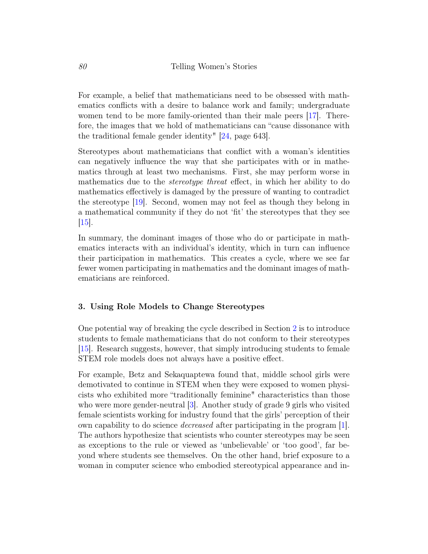For example, a belief that mathematicians need to be obsessed with mathematics conflicts with a desire to balance work and family; undergraduate women tend to be more family-oriented than their male peers [\[17\]](#page-15-1). Therefore, the images that we hold of mathematicians can "cause dissonance with the traditional female gender identity" [\[24,](#page-16-1) page 643].

Stereotypes about mathematicians that conflict with a woman's identities can negatively influence the way that she participates with or in mathematics through at least two mechanisms. First, she may perform worse in mathematics due to the *stereotype threat* effect, in which her ability to do mathematics effectively is damaged by the pressure of wanting to contradict the stereotype [\[19\]](#page-15-2). Second, women may not feel as though they belong in a mathematical community if they do not 'fit' the stereotypes that they see [\[15\]](#page-15-3).

In summary, the dominant images of those who do or participate in mathematics interacts with an individual's identity, which in turn can influence their participation in mathematics. This creates a cycle, where we see far fewer women participating in mathematics and the dominant images of mathematicians are reinforced.

#### <span id="page-4-0"></span>3. Using Role Models to Change Stereotypes

One potential way of breaking the cycle described in Section [2](#page-3-0) is to introduce students to female mathematicians that do not conform to their stereotypes [\[15\]](#page-15-3). Research suggests, however, that simply introducing students to female STEM role models does not always have a positive effect.

For example, Betz and Sekaquaptewa found that, middle school girls were demotivated to continue in STEM when they were exposed to women physicists who exhibited more "traditionally feminine" characteristics than those who were more gender-neutral [\[3\]](#page-14-1). Another study of grade 9 girls who visited female scientists working for industry found that the girls' perception of their own capability to do science decreased after participating in the program [\[1\]](#page-13-0). The authors hypothesize that scientists who counter stereotypes may be seen as exceptions to the rule or viewed as 'unbelievable' or 'too good', far beyond where students see themselves. On the other hand, brief exposure to a woman in computer science who embodied stereotypical appearance and in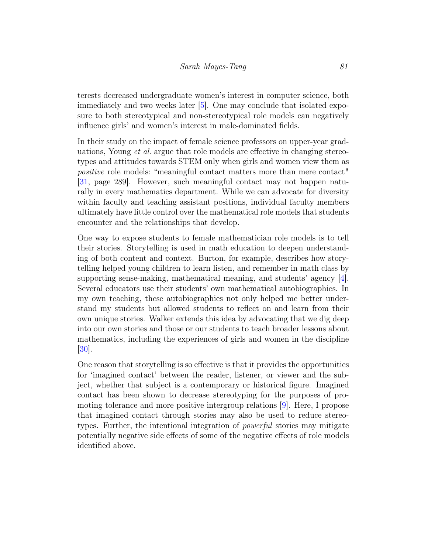terests decreased undergraduate women's interest in computer science, both immediately and two weeks later [\[5\]](#page-14-2). One may conclude that isolated exposure to both stereotypical and non-stereotypical role models can negatively influence girls' and women's interest in male-dominated fields.

In their study on the impact of female science professors on upper-year graduations, Young et al. argue that role models are effective in changing stereotypes and attitudes towards STEM only when girls and women view them as positive role models: "meaningful contact matters more than mere contact" [\[31,](#page-16-2) page 289]. However, such meaningful contact may not happen naturally in every mathematics department. While we can advocate for diversity within faculty and teaching assistant positions, individual faculty members ultimately have little control over the mathematical role models that students encounter and the relationships that develop.

One way to expose students to female mathematician role models is to tell their stories. Storytelling is used in math education to deepen understanding of both content and context. Burton, for example, describes how storytelling helped young children to learn listen, and remember in math class by supporting sense-making, mathematical meaning, and students' agency  $|4|$ . Several educators use their students' own mathematical autobiographies. In my own teaching, these autobiographies not only helped me better understand my students but allowed students to reflect on and learn from their own unique stories. Walker extends this idea by advocating that we dig deep into our own stories and those or our students to teach broader lessons about mathematics, including the experiences of girls and women in the discipline [\[30\]](#page-16-3).

<span id="page-5-0"></span>One reason that storytelling is so effective is that it provides the opportunities for 'imagined contact' between the reader, listener, or viewer and the subject, whether that subject is a contemporary or historical figure. Imagined contact has been shown to decrease stereotyping for the purposes of promoting tolerance and more positive intergroup relations [\[9\]](#page-14-4). Here, I propose that imagined contact through stories may also be used to reduce stereotypes. Further, the intentional integration of *powerful* stories may mitigate potentially negative side effects of some of the negative effects of role models identified above.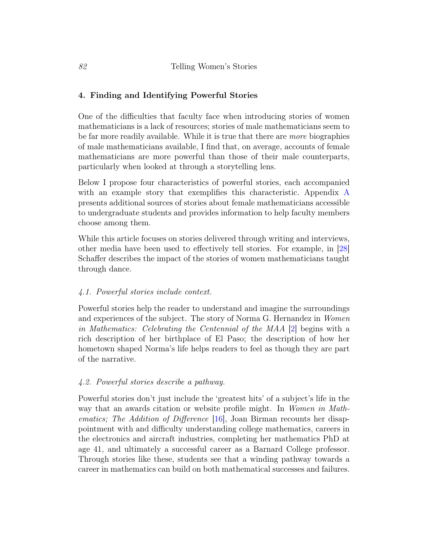# 4. Finding and Identifying Powerful Stories

One of the difficulties that faculty face when introducing stories of women mathematicians is a lack of resources; stories of male mathematicians seem to be far more readily available. While it is true that there are more biographies of male mathematicians available, I find that, on average, accounts of female mathematicians are more powerful than those of their male counterparts, particularly when looked at through a storytelling lens.

Below I propose four characteristics of powerful stories, each accompanied with an example story that exemplifies this characteristic. Appendix [A](#page-11-0) presents additional sources of stories about female mathematicians accessible to undergraduate students and provides information to help faculty members choose among them.

While this article focuses on stories delivered through writing and interviews, other media have been used to effectively tell stories. For example, in [\[28\]](#page-16-4) Schaffer describes the impact of the stories of women mathematicians taught through dance.

# 4.1. Powerful stories include context.

Powerful stories help the reader to understand and imagine the surroundings and experiences of the subject. The story of Norma G. Hernandez in Women in Mathematics: Celebrating the Centennial of the MAA [\[2\]](#page-13-1) begins with a rich description of her birthplace of El Paso; the description of how her hometown shaped Norma's life helps readers to feel as though they are part of the narrative.

# 4.2. Powerful stories describe a pathway.

Powerful stories don't just include the 'greatest hits' of a subject's life in the way that an awards citation or website profile might. In *Women in Math*ematics; The Addition of Difference [\[16\]](#page-15-4), Joan Birman recounts her disappointment with and difficulty understanding college mathematics, careers in the electronics and aircraft industries, completing her mathematics PhD at age 41, and ultimately a successful career as a Barnard College professor. Through stories like these, students see that a winding pathway towards a career in mathematics can build on both mathematical successes and failures.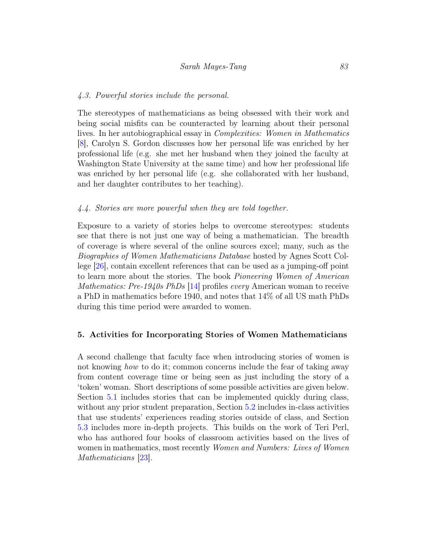#### 4.3. Powerful stories include the personal.

The stereotypes of mathematicians as being obsessed with their work and being social misfits can be counteracted by learning about their personal lives. In her autobiographical essay in Complexities: Women in Mathematics [\[8\]](#page-14-5), Carolyn S. Gordon discusses how her personal life was enriched by her professional life (e.g. she met her husband when they joined the faculty at Washington State University at the same time) and how her professional life was enriched by her personal life (e.g. she collaborated with her husband, and her daughter contributes to her teaching).

#### 4.4. Stories are more powerful when they are told together.

Exposure to a variety of stories helps to overcome stereotypes: students see that there is not just one way of being a mathematician. The breadth of coverage is where several of the online sources excel; many, such as the Biographies of Women Mathematicians Database hosted by Agnes Scott College [\[26\]](#page-16-5), contain excellent references that can be used as a jumping-off point to learn more about the stories. The book Pioneering Women of American Mathematics: Pre-1940s PhDs [\[14\]](#page-15-5) profiles every American woman to receive a PhD in mathematics before 1940, and notes that 14% of all US math PhDs during this time period were awarded to women.

#### <span id="page-7-0"></span>5. Activities for Incorporating Stories of Women Mathematicians

<span id="page-7-1"></span>A second challenge that faculty face when introducing stories of women is not knowing *how* to do it; common concerns include the fear of taking away from content coverage time or being seen as just including the story of a 'token' woman. Short descriptions of some possible activities are given below. Section [5.1](#page-7-1) includes stories that can be implemented quickly during class, without any prior student preparation, Section [5.2](#page-8-0) includes in-class activities that use students' experiences reading stories outside of class, and Section [5.3](#page-9-0) includes more in-depth projects. This builds on the work of Teri Perl, who has authored four books of classroom activities based on the lives of women in mathematics, most recently Women and Numbers: Lives of Women Mathematicians  $|23|$ .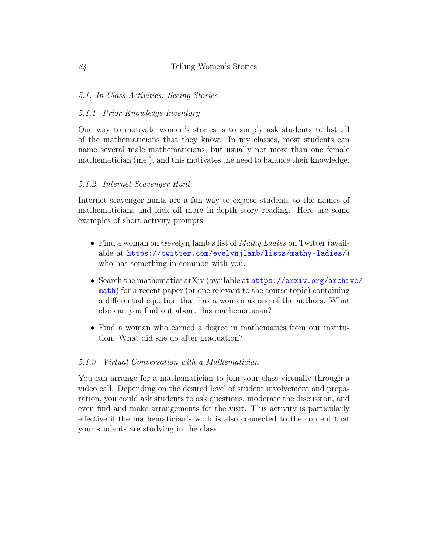### 5.1. In-Class Activities: Seeing Stories

#### 5.1.1. Prior Knowledge Inventory

One way to motivate women's stories is to simply ask students to list all of the mathematicians that they know. In my classes, most students can name several male mathematicians, but usually not more than one female mathematician (me!), and this motivates the need to balance their knowledge.

#### 5.1.2. Internet Scavenger Hunt

Internet scavenger hunts are a fun way to expose students to the names of mathematicians and kick off more in-depth story reading. Here are some examples of short activity prompts:

- Find a woman on @evelynjlamb's list of *Mathy Ladies* on Twitter (available at <https://twitter.com/evelynjlamb/lists/mathy-ladies/>) who has something in common with you.
- Search the mathematics arXiv (available at [https://arxiv.org/archiv](https://arxiv.org/archive/math)e/ [math](https://arxiv.org/archive/math)) for a recent paper (or one relevant to the course topic) containing a differential equation that has a woman as one of the authors. What else can you find out about this mathematician?
- Find a woman who earned a degree in mathematics from our institution. What did she do after graduation?

#### 5.1.3. Virtual Conversation with a Mathematician

<span id="page-8-0"></span>You can arrange for a mathematician to join your class virtually through a video call. Depending on the desired level of student involvement and preparation, you could ask students to ask questions, moderate the discussion, and even find and make arrangements for the visit. This activity is particularly effective if the mathematician's work is also connected to the content that your students are studying in the class.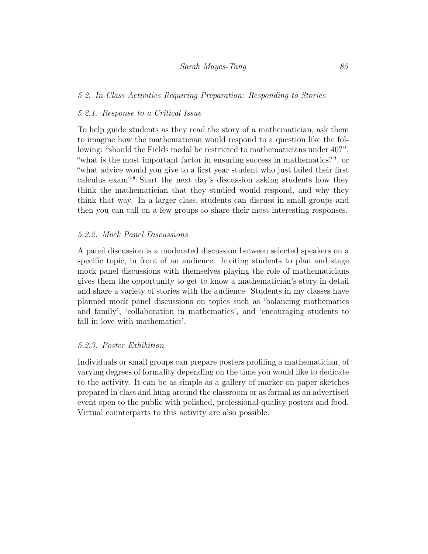### Sarah Mayes-Tang 85

## 5.2. In-Class Activities Requiring Preparation: Responding to Stories

#### 5.2.1. Response to a Critical Issue

To help guide students as they read the story of a mathematician, ask them to imagine how the mathematician would respond to a question like the following: "should the Fields medal be restricted to mathematicians under 40?", "what is the most important factor in ensuring success in mathematics?", or "what advice would you give to a first year student who just failed their first calculus exam?" Start the next day's discussion asking students how they think the mathematician that they studied would respond, and why they think that way. In a larger class, students can discuss in small groups and then you can call on a few groups to share their most interesting responses.

## 5.2.2. Mock Panel Discussions

A panel discussion is a moderated discussion between selected speakers on a specific topic, in front of an audience. Inviting students to plan and stage mock panel discussions with themselves playing the role of mathematicians gives them the opportunity to get to know a mathematician's story in detail and share a variety of stories with the audience. Students in my classes have planned mock panel discussions on topics such as 'balancing mathematics and family', 'collaboration in mathematics', and 'encouraging students to fall in love with mathematics'.

#### 5.2.3. Poster Exhibition

<span id="page-9-0"></span>Individuals or small groups can prepare posters profiling a mathematician, of varying degrees of formality depending on the time you would like to dedicate to the activity. It can be as simple as a gallery of marker-on-paper sketches prepared in class and hung around the classroom or as formal as an advertised event open to the public with polished, professional-quality posters and food. Virtual counterparts to this activity are also possible.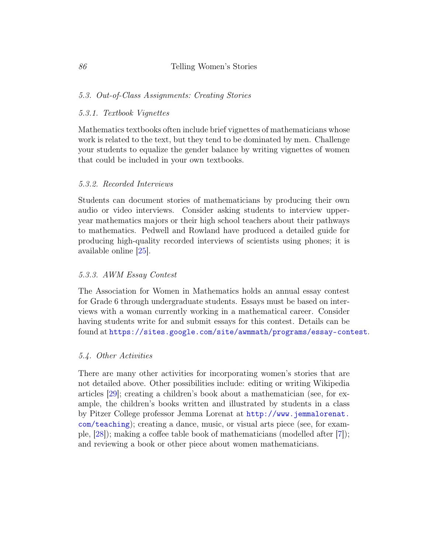#### 5.3. Out-of-Class Assignments: Creating Stories

#### 5.3.1. Textbook Vignettes

Mathematics textbooks often include brief vignettes of mathematicians whose work is related to the text, but they tend to be dominated by men. Challenge your students to equalize the gender balance by writing vignettes of women that could be included in your own textbooks.

#### 5.3.2. Recorded Interviews

Students can document stories of mathematicians by producing their own audio or video interviews. Consider asking students to interview upperyear mathematics majors or their high school teachers about their pathways to mathematics. Pedwell and Rowland have produced a detailed guide for producing high-quality recorded interviews of scientists using phones; it is available online [\[25\]](#page-16-7).

#### 5.3.3. AWM Essay Contest

The Association for Women in Mathematics holds an annual essay contest for Grade 6 through undergraduate students. Essays must be based on interviews with a woman currently working in a mathematical career. Consider having students write for and submit essays for this contest. Details can be found at <https://sites.google.com/site/awmmath/programs/essay-contest>.

#### 5.4. Other Activities

There are many other activities for incorporating women's stories that are not detailed above. Other possibilities include: editing or writing Wikipedia articles [\[29\]](#page-16-8); creating a children's book about a mathematician (see, for example, the children's books written and illustrated by students in a class by Pitzer College professor Jemma Lorenat at [http://www.jemmalorenat.](http://www.jemmalorenat.com/teaching) [com/teaching](http://www.jemmalorenat.com/teaching)); creating a dance, music, or visual arts piece (see, for example, [\[28\]](#page-16-4)); making a coffee table book of mathematicians (modelled after [\[7\]](#page-14-6)); and reviewing a book or other piece about women mathematicians.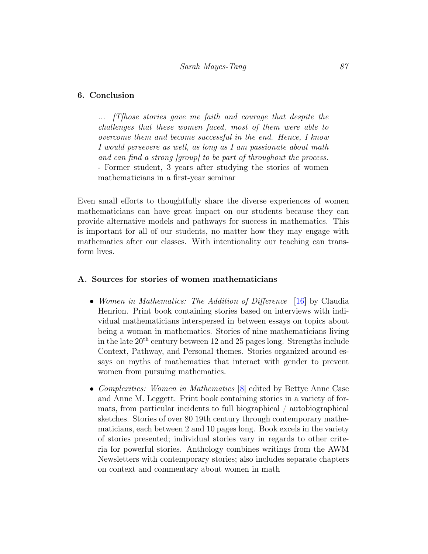#### 6. Conclusion

... [T]hose stories gave me faith and courage that despite the challenges that these women faced, most of them were able to overcome them and become successful in the end. Hence, I know I would persevere as well, as long as I am passionate about math and can find a strong [group] to be part of throughout the process. - Former student, 3 years after studying the stories of women mathematicians in a first-year seminar

Even small efforts to thoughtfully share the diverse experiences of women mathematicians can have great impact on our students because they can provide alternative models and pathways for success in mathematics. This is important for all of our students, no matter how they may engage with mathematics after our classes. With intentionality our teaching can transform lives.

#### <span id="page-11-0"></span>A. Sources for stories of women mathematicians

- Women in Mathematics: The Addition of Difference [\[16\]](#page-15-4) by Claudia Henrion. Print book containing stories based on interviews with individual mathematicians interspersed in between essays on topics about being a woman in mathematics. Stories of nine mathematicians living in the late  $20<sup>th</sup>$  century between 12 and 25 pages long. Strengths include Context, Pathway, and Personal themes. Stories organized around essays on myths of mathematics that interact with gender to prevent women from pursuing mathematics.
- Complexities: Women in Mathematics [\[8\]](#page-14-5) edited by Bettye Anne Case and Anne M. Leggett. Print book containing stories in a variety of formats, from particular incidents to full biographical / autobiographical sketches. Stories of over 80 19th century through contemporary mathematicians, each between 2 and 10 pages long. Book excels in the variety of stories presented; individual stories vary in regards to other criteria for powerful stories. Anthology combines writings from the AWM Newsletters with contemporary stories; also includes separate chapters on context and commentary about women in math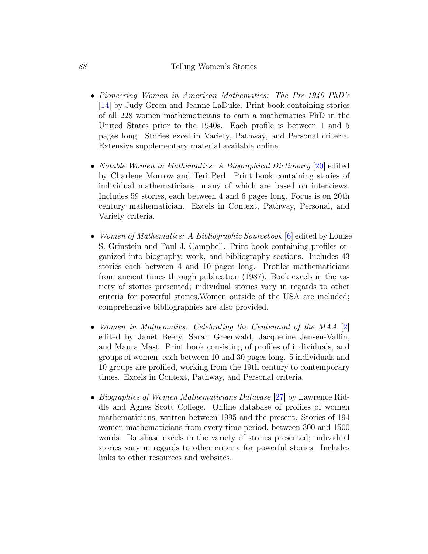#### 88 Telling Women's Stories

- Pioneering Women in American Mathematics: The Pre-1940 PhD's [\[14\]](#page-15-5) by Judy Green and Jeanne LaDuke. Print book containing stories of all 228 women mathematicians to earn a mathematics PhD in the United States prior to the 1940s. Each profile is between 1 and 5 pages long. Stories excel in Variety, Pathway, and Personal criteria. Extensive supplementary material available online.
- Notable Women in Mathematics: A Biographical Dictionary [\[20\]](#page-15-6) edited by Charlene Morrow and Teri Perl. Print book containing stories of individual mathematicians, many of which are based on interviews. Includes 59 stories, each between 4 and 6 pages long. Focus is on 20th century mathematician. Excels in Context, Pathway, Personal, and Variety criteria.
- Women of Mathematics: A Bibliographic Sourcebook [\[6\]](#page-14-7) edited by Louise S. Grinstein and Paul J. Campbell. Print book containing profiles organized into biography, work, and bibliography sections. Includes 43 stories each between 4 and 10 pages long. Profiles mathematicians from ancient times through publication (1987). Book excels in the variety of stories presented; individual stories vary in regards to other criteria for powerful stories.Women outside of the USA are included; comprehensive bibliographies are also provided.
- Women in Mathematics: Celebrating the Centennial of the MAA [\[2\]](#page-13-1) edited by Janet Beery, Sarah Greenwald, Jacqueline Jensen-Vallin, and Maura Mast. Print book consisting of profiles of individuals, and groups of women, each between 10 and 30 pages long. 5 individuals and 10 groups are profiled, working from the 19th century to contemporary times. Excels in Context, Pathway, and Personal criteria.
- *Biographies of Women Mathematicians Database* [\[27\]](#page-16-9) by Lawrence Riddle and Agnes Scott College. Online database of profiles of women mathematicians, written between 1995 and the present. Stories of 194 women mathematicians from every time period, between 300 and 1500 words. Database excels in the variety of stories presented; individual stories vary in regards to other criteria for powerful stories. Includes links to other resources and websites.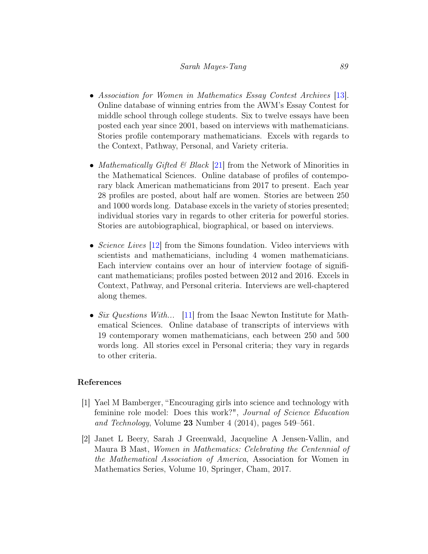#### Sarah Mayes-Tang 89

- Association for Women in Mathematics Essay Contest Archives [\[13\]](#page-15-7). Online database of winning entries from the AWM's Essay Contest for middle school through college students. Six to twelve essays have been posted each year since 2001, based on interviews with mathematicians. Stories profile contemporary mathematicians. Excels with regards to the Context, Pathway, Personal, and Variety criteria.
- Mathematically Gifted & Black  $[21]$  from the Network of Minorities in the Mathematical Sciences. Online database of profiles of contemporary black American mathematicians from 2017 to present. Each year 28 profiles are posted, about half are women. Stories are between 250 and 1000 words long. Database excels in the variety of stories presented; individual stories vary in regards to other criteria for powerful stories. Stories are autobiographical, biographical, or based on interviews.
- Science Lives [\[12\]](#page-14-8) from the Simons foundation. Video interviews with scientists and mathematicians, including 4 women mathematicians. Each interview contains over an hour of interview footage of significant mathematicians; profiles posted between 2012 and 2016. Excels in Context, Pathway, and Personal criteria. Interviews are well-chaptered along themes.
- Six Questions With... [\[11\]](#page-14-9) from the Isaac Newton Institute for Mathematical Sciences. Online database of transcripts of interviews with 19 contemporary women mathematicians, each between 250 and 500 words long. All stories excel in Personal criteria; they vary in regards to other criteria.

#### References

- <span id="page-13-0"></span>[1] Yael M Bamberger, "Encouraging girls into science and technology with feminine role model: Does this work?", Journal of Science Education and Technology, Volume 23 Number 4 (2014), pages 549–561.
- <span id="page-13-1"></span>[2] Janet L Beery, Sarah J Greenwald, Jacqueline A Jensen-Vallin, and Maura B Mast, Women in Mathematics: Celebrating the Centennial of the Mathematical Association of America, Association for Women in Mathematics Series, Volume 10, Springer, Cham, 2017.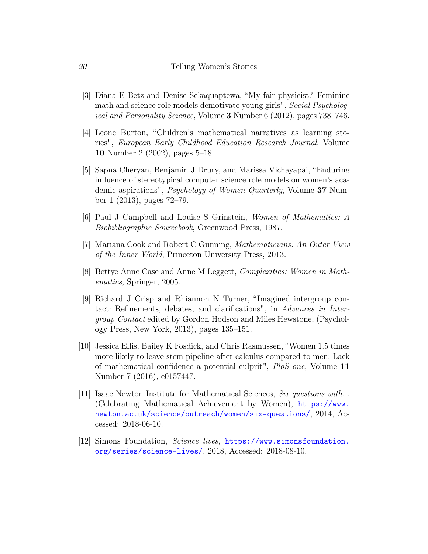- <span id="page-14-1"></span>[3] Diana E Betz and Denise Sekaquaptewa, "My fair physicist? Feminine math and science role models demotivate young girls", Social Psychological and Personality Science, Volume 3 Number 6 (2012), pages 738–746.
- <span id="page-14-3"></span>[4] Leone Burton, "Children's mathematical narratives as learning stories", European Early Childhood Education Research Journal, Volume 10 Number 2 (2002), pages 5–18.
- <span id="page-14-2"></span>[5] Sapna Cheryan, Benjamin J Drury, and Marissa Vichayapai, "Enduring influence of stereotypical computer science role models on women's academic aspirations", Psychology of Women Quarterly, Volume 37 Number 1 (2013), pages 72–79.
- <span id="page-14-7"></span>[6] Paul J Campbell and Louise S Grinstein, Women of Mathematics: A Biobibliographic Sourcebook, Greenwood Press, 1987.
- <span id="page-14-6"></span>[7] Mariana Cook and Robert C Gunning, Mathematicians: An Outer View of the Inner World, Princeton University Press, 2013.
- <span id="page-14-5"></span>[8] Bettye Anne Case and Anne M Leggett, Complexities: Women in Mathematics, Springer, 2005.
- <span id="page-14-4"></span>[9] Richard J Crisp and Rhiannon N Turner, "Imagined intergroup contact: Refinements, debates, and clarifications", in Advances in Intergroup Contact edited by Gordon Hodson and Miles Hewstone, (Psychology Press, New York, 2013), pages 135–151.
- <span id="page-14-0"></span>[10] Jessica Ellis, Bailey K Fosdick, and Chris Rasmussen, "Women 1.5 times more likely to leave stem pipeline after calculus compared to men: Lack of mathematical confidence a potential culprit", PloS one, Volume 11 Number 7 (2016), e0157447.
- <span id="page-14-9"></span>[11] Isaac Newton Institute for Mathematical Sciences, Six questions with... (Celebrating Mathematical Achievement by Women), [https://www.](https://www.newton.ac.uk/science/outreach/women/six-questions/) [newton.ac.uk/science/outreach/women/six-questions/](https://www.newton.ac.uk/science/outreach/women/six-questions/), 2014, Accessed: 2018-06-10.
- <span id="page-14-8"></span>[12] Simons Foundation, Science lives, [https://www.simonsfoundation.](https://www.simonsfoundation.org/series/science-lives/) [org/series/science-lives/](https://www.simonsfoundation.org/series/science-lives/), 2018, Accessed: 2018-08-10.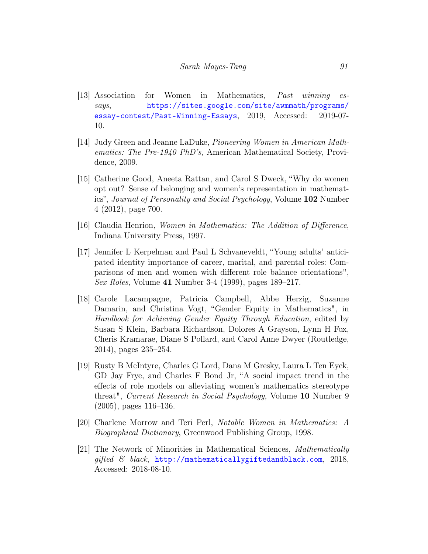- <span id="page-15-7"></span>[13] Association for Women in Mathematics, Past winning essays, [https://sites.google.com/site/awmmath/programs/](https://sites.google.com/site/awmmath/programs/essay-contest/Past-Winning-Essays) [essay-contest/Past-Winning-Essays](https://sites.google.com/site/awmmath/programs/essay-contest/Past-Winning-Essays), 2019, Accessed: 2019-07- 10.
- <span id="page-15-5"></span>[14] Judy Green and Jeanne LaDuke, Pioneering Women in American Mathematics: The Pre-1940 PhD's, American Mathematical Society, Providence, 2009.
- <span id="page-15-3"></span>[15] Catherine Good, Aneeta Rattan, and Carol S Dweck, "Why do women opt out? Sense of belonging and women's representation in mathematics", Journal of Personality and Social Psychology, Volume 102 Number 4 (2012), page 700.
- <span id="page-15-4"></span>[16] Claudia Henrion, Women in Mathematics: The Addition of Difference, Indiana University Press, 1997.
- <span id="page-15-1"></span>[17] Jennifer L Kerpelman and Paul L Schvaneveldt, "Young adults' anticipated identity importance of career, marital, and parental roles: Comparisons of men and women with different role balance orientations", Sex Roles, Volume 41 Number 3-4 (1999), pages 189–217.
- <span id="page-15-0"></span>[18] Carole Lacampagne, Patricia Campbell, Abbe Herzig, Suzanne Damarin, and Christina Vogt, "Gender Equity in Mathematics", in Handbook for Achieving Gender Equity Through Education, edited by Susan S Klein, Barbara Richardson, Dolores A Grayson, Lynn H Fox, Cheris Kramarae, Diane S Pollard, and Carol Anne Dwyer (Routledge, 2014), pages 235–254.
- <span id="page-15-2"></span>[19] Rusty B McIntyre, Charles G Lord, Dana M Gresky, Laura L Ten Eyck, GD Jay Frye, and Charles F Bond Jr, "A social impact trend in the effects of role models on alleviating women's mathematics stereotype threat", Current Research in Social Psychology, Volume 10 Number 9 (2005), pages 116–136.
- <span id="page-15-6"></span>[20] Charlene Morrow and Teri Perl, Notable Women in Mathematics: A Biographical Dictionary, Greenwood Publishing Group, 1998.
- <span id="page-15-8"></span>[21] The Network of Minorities in Mathematical Sciences, Mathematically qifted  $\&$  black, <http://mathematicallygiftedandblack.com>, 2018, Accessed: 2018-08-10.